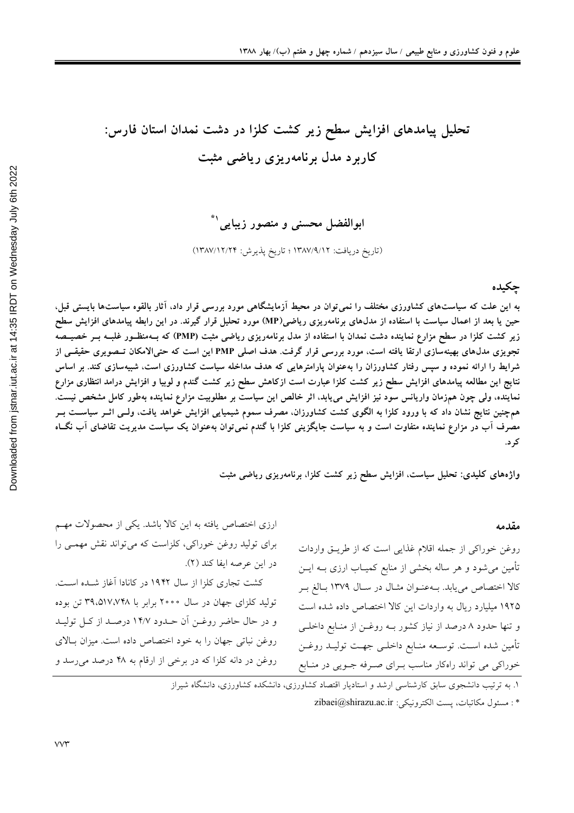# تحلیل پیامدهای افزایش سطح زیر کشت کلزا در دشت نمدان استان فارس: کاربرد مدل برنامهریزی ریاضی مثبت

ابوالفضل محسن*ی* و منصور زیبای*ی*`

(تاريخ دريافت: ١٣٨٧/٩/١٢ ؛ تاريخ پذيرش: ١٣٨٧/١٢/٢۴)

جكيده

به این علت که سیاستهای کشاورزی مختلف را نمی توان در محیط آزمایشگاهی مورد بررسی قرار داد، آثار بالقوه سیاستها بایستی قبل، حین یا بعد از اعمال سیاست با استفاده از مدلهای برنامهریزی ریاضی(MP) مورد تحلیل قرار گیرند. در این رابطه پیامدهای افزایش سطح زیر کشت کلزا در سطح مزارع نماینده دشت نمدان با استفاده از مدل برنامهریزی ریاضی مثبت (PMP) که بــهمنظــور غلبــه بــر خصیــصه تجویزی مدل،های بهینهسازی ارتقا یافته است، مورد بررسی قرار گرفت. هدف اصلی PMP این است که حتی|لامکان تــصویری حقیقــی از شرایط را ارائه نموده و سپس رفتار کشاورزان را بهعنوان پارامترهایی که هدف مداخله سیاست کشاورزی است، شبیهسازی کند. بر اساس نتایج این مطالعه پیامدهای افزایش سطح زیر کشت کلزا عبارت است ازکاهش سطح زیر کشت گندم و لوبیا و افزایش درامد انتظاری مزارع نماینده، ولی چون همزمان واریانس سود نیز افزایش مییابد، اثر خالص این سیاست بر مطلوبیت مزارع نماینده بهطور کامل مشخص نیست. همچنین نتایج نشان داد که با ورود کلزا به الگوی کشت کشاورزان، مصرف سموم شیمیایی افزایش خواهد یافت، ولــی اثــر سیاســت بــر مصرف آب در مزارع نماینده متفاوت است و به سیاست جایگزینی کلزا با گندم نمی¤توان بهعنوان یک سیاست مدیریت تقاضای آب نگــاه

واژههای کلیدی: تحلیل سیاست، افزایش سطح زیر کشت کلزا، برنامهریزی ریاضی مثبت

#### مقدمه

روغن خوراكي از جمله اقلام غذايي است كه از طريــق واردات تأمین می شود و هر ساله بخشی از منابع کمیــاب ارزی بــه ایــن كالا اختصاص مي يابد. بـهعنـوان مثـال در سـال ١٣٧٩ بـالغ بـر ۱۹۲۵ میلیارد ریال به واردات این کالا اختصاص داده شده است و تنها حدود ٨ درصد از نياز كشور بـه روغــن از منــابع داخلــي تأمين شده اسـت. توسـعه منـابع داخلـي جهـت توليـد روغـن خوراکی می تواند راهکار مناسب بـرای صـرفه جـویی در منـابع

۱. به ترتیب دانشجوی سابق کارشناسی ارشد و استادیار اقتصاد کشاورزی، دانشکده کشاورزی، دانشگاه شیراز

\*: مسئول مكاتبات، يست الكترونيكي: zibaei@shirazu.ac.ir

ارزی اختصاص یافته به این کالا باشد. یکی از محصولات مهـم برای تولید روغن خوراکی، کلزاست که میتواند نقش مهمـی را در اين عرصه ايفا كند (٢).

کشت تجاری کلزا از سال ۱۹۴۲ در کانادا آغاز شـده اسـت. تولید کلزای جهان در سال ۲۰۰۰ برابر با ۳۹،۵۱۷،۷۴۸ تن بوده و در حال حاضر روغـن آن حـدود ١۴/٧ درصـد از كـل توليـد روغن نباتی جهان را به خود اختصاص داده است. میزان بالای روغن در دانه کلزا که در برخی از ارقام به ۴۸ درصد می رسد و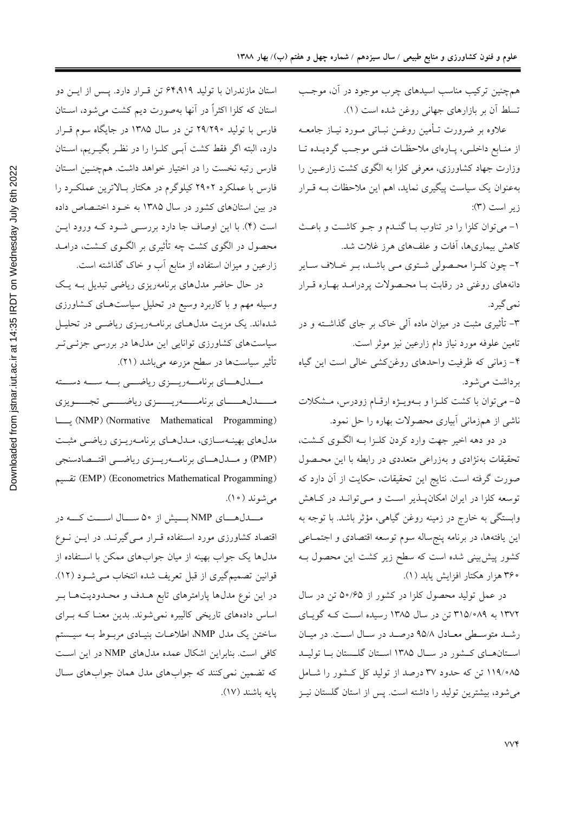استان مازندران با تولید ۶۴٬۹۱۹ تن قرار دارد. پس از ایس دو استان که کلزا اکثراً در آنها بهصورت دیم کشت می شود، اســتان فارس با تولید ۲۹/۲۹۰ تن در سال ۱۳۸۵ در جایگاه سوم قـرار دارد، البته اگر فقط کشت آبـی کلـزا را در نظـر بگیـریم، اسـتان فارس رتبه نخست را در اختیار خواهد داشت. همچنـین اسـتان فارس با عملکرد ۲۹۰۲ کیلوگرم در هکتار بالاترین عملکـرد را در بین استانهای کشور در سال ۱۳۸۵ به خـود اختـصاص داده است (۴). با این اوصاف جا دارد بررسـی شـود کـه ورود ایـن محصول در الگوی کشت چه تأثیری بر الگــوی کــشت، درامــد زارعین و میزان استفاده از منابع آب و خاک گذاشته است.

در حال حاضر مدلهای برنامهریزی ریاضی تبدیل بـه یـک وسیله مهم و با کاربرد وسیع در تحلیل سیاستهای کشاورزی شدهاند. یک مزیت مدل های برنامـهریـزی ریاضـی در تحلیـل سیاستهای کشاورزی توانایی این مدلها در بررسی جزئـیتر تأثير سياستها در سطح مزرعه ميباشد (٢١).

مــدلهــاي برنامـــهريـــزي رياضـــي بـــه ســـه دســـته (NMP) (Normative Mathematical Progamming) مدلهای بهینـهسـازی، مـدلهـای برنامـهریـزی ریاضـی مثبـت (PMP) و مــدلهـاي برنامــهريــزي رياضــي اقتــصادسنجي (EMP) (Econometrics Mathematical Progamming) تقسيم می شوند ( ۱۰).

مـــدلهــای NMP بـــیش از ۵۰ ســال اســت کـــه در اقتصاد کشاورزی مورد استفاده قـرار مـی گیرنــد. در ایــن نــوع مدلها یک جواب بهینه از میان جوابهای ممکن با استفاده از قوانين تصميم گيري از قبل تعريف شده انتخاب مـي شـود (١٢). در این نوع مدلها پارامترهای تابع هـدف و محـدودیتهـا بـر اساس دادههای تاریخی کالیبره نمیشوند. بدین معنـا کـه بـرای ساختن یک مدل NMP، اطلاعـات بنیـادی مربـوط بـه سیـستم كافي است. بنابراين اشكال عمده مدل هاي NMP در اين است که تضمین نمی کنند که جوابهای مدل همان جوابهای سال بايه باشند (١٧). همچنین ترکیب مناسب اسیدهای چرب موجود در آن، موجب تسلط آن بر بازارهای جهانی روغن شده است (۱).

علاوه بر ضرورت تـأمين روغــن نبــاتي مــورد نيــاز جامعــه از منـابع داخلـي، پـارهاي ملاحظـات فنـي موجـب گرديــده تـا وزارت جهاد کشاورزی، معرفی کلزا به الگوی کشت زارعـین را بهعنوان یک سیاست پیگیری نماید، اهم این ملاحظات بـه قـرار  $(\mathfrak{r})$  زير است

١- مي توان كلزا را در تناوب بـا گنـدم و جـو كاشـت و باعـث کاهش بیماریها، آفات و علفهای هرز غلات شد.

٢- چون كلـزا محـصولى شـتوى مـى باشـد، بـر خـلاف سـاير دانههای روغنی در رقابت بـا محـصولات پردرامـد بهـاره قـرار نمي گير د.

۳– تأثیری مثبت در میزان ماده آل<sub>ی</sub> خاک بر جای گذاشــته و در تامين علوفه مورد نياز دام زارعين نيز موثر است.

۴- زمانی که ظرفیت واحدهای روغنکشی خالی است این گیاه برداشت مي شود.

۵- می توان با کشت کلـزا و بــهویـژه ارقــام زودرس، مــشکلات ناشی از همزمانی آبیاری محصولات بهاره را حل نمود.

در دو دهه اخیر جهت وارد کردن کلـزا بـه الگـوي کـشت، تحقیقات بهنژادی و بهزراعی متعددی در رابطه با این محصول صورت گرفته است. نتایج این تحقیقات، حکایت از آن دارد که توسعه کلزا در ایران امکان پـــذیر اســت و مــیتوانــد در کــاهش وابستگی به خارج در زمینه روغن گیاهی، مؤثر باشد. با توجه به این یافتهها، در برنامه پنجساله سوم توسعه اقتصادی و اجتمـاعی کشور پیش بینی شده است که سطح زیر کشت این محصول بـه ۲۶۰ هزار هکتار افزایش یابد (۱).

در عمل تولید محصول کلزا در کشور از ۵۰/۶۵ تن در سال ۱۳۷۲ به ۳۱۵/۰۸۹ تن در سال ۱۳۸۵ رسیده است کـه گویـای رشد متوسطى معادل ٩٥/٨ درصد در سال است. در ميان استانهای کشور در سال ۱۳۸۵ استان گلستان با تولیـد ۰۸۵/ ۱۱۹ تن که حدود ۳۷ درصد از تولید کل کـشور را شـامل می شود، بیشترین تولید را داشته است. پس از استان گلستان نیـز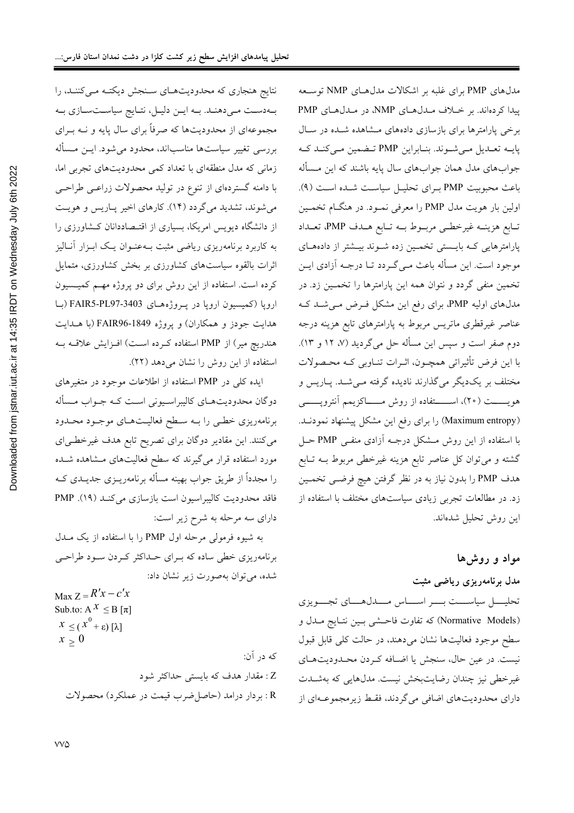نتایج هنجاری که محدودیتهای سنجش دیکتـه مـیکننـد، را به دست می دهند. به این دلیل، نتایج سیاست سازی به مجموعهای از محدودیتها که صرفاً برای سال پایه و نــه بــرای بررسی تغییر سیاستها مناسباند، محدود می شود. ایــن مــسأله زمانی که مدل منطقهای با تعداد کمی محدودیتهای تجربی اما، با دامنه گستردهای از تنوع در تولید محصولات زراعـی طراحـی می شوند، تشدید می گردد (۱۴). کارهای اخیر پـاریس و هویـت از دانشگاه دیویس امریکا، بسیاری از اقتـصاددانان کـشاورزی را به کاربرد برنامهریزی ریاضی مثبت بـهعنـوان یـک ابـزار آنـالیز اثرات بالقوه سیاستهای کشاورزی بر بخش کشاورزی، متمایل کرده است. استفاده از این روش برای دو پروژه مهم کمیسیون اروپا (کمیسیون اروپا در پروژههای FAIR5-PL97-3403 (با هدایت جودز و همکاران) و پروژه FAIR96-1849 (با هــدایت هندریچ میر) از PMP استفاده کرده است) افـزایش علاقـه بـه استفاده از این روش را نشان میدهد (٢٢).

ایده کلی در PMP استفاده از اطلاعات موجود در متغیرهای دوگان محدودیتهـای کالیبراسـیونی اسـت کـه جـواب مـسأله برنامهریزی خطبی را بـه سـطح فعالیـتهـای موجـود محـدود می کنند. این مقادیر دوگان برای تصریح تابع هدف غیرخطی ای مورد استفاده قرار میگیرند که سطح فعالیتهای مشاهده شـده را مجدداً از طریق جواب بهینه مسأله برنامهریــزی جدیــدی کــه فاقد محدوديت كاليبراسيون است بازسازي مي كنـد (١٩). PMP دارای سه مرحله به شرح زیر است:

به شیوه فرمولی مرحله اول PMP را با استفاده از یک مـدل برنامهریزی خطی ساده که برای حداکثر کردن سود طراحی شده، می توان بهصورت زیر نشان داد:

$$
Max Z = K X - C X
$$
  
\nSub.to: A  $x ≤ B [π]$   
\n $x ≤ (x0 + ε) [λ]$   
\n $x ≥ 0$   
\n $\therefore$  ∴  
\n $z = 1$   
\n $\therefore$  ∴  
\n $z = 1$   
\n $\therefore$  ∴  
\n $z = 1$   
\n $\therefore$  ∴  
\n $z = 1$   
\n $\therefore$  √  
\n $z = 1$   
\n $\therefore$  √  
\n $z = 1$   
\n $\therefore$  √  
\n $z = 1$   
\n $\therefore$  √  
\n $z = 1$   
\n $\therefore$  √  
\n $z = 1$   
\n $\therefore$  √  
\n $z = 1$   
\n $\therefore$  √  
\n $z = 1$   
\n $\therefore$  √  
\n $z = 1$   
\n $\therefore$  √  
\n $z = 1$   
\n $\therefore$  √  
\n $z = 0$   
\n $\therefore$  √  
\n $z = 0$   
\n $\therefore$  √  
\n $z = 0$   
\n $\therefore$  √  
\n $z = 0$   
\n $\therefore$  √  
\n $z = 0$   
\n $\therefore$  √  
\n $z = 0$   
\n $\therefore$  √  
\n $z = 0$   
\n $\therefore$  √  
\n $z = 0$   
\n $\therefore$  √  
\n $z = 0$   
\n $\therefore$  √  
\n $z = 0$   
\n $\therefore$  √  
\n $z = 0$   
\n $\therefore$  √  
\n $z = 0$   
\n $\therefore$  √  
\n<

مدلهای PMP برای غلبه بر اشکالات مدلهای NMP توسعه پیدا کردهاند. بر خلاف مدلهای NMP، در مدلهای PMP برخی پارامترها برای بازسازی دادههای مشاهده شـده در سـال پایـه تعـدیل مـیشـوند. بنـابراین PMP تـضمین مـیکنـد کـه جوابهای مدل همان جوابهای سال پایه باشند که این مـسأله باعث محبوبيت PMP براى تحليل سياست شده است (٩). اولین بار هویت مدل PMP را معرفی نمـود. در هنگـام تخمـین تــابع هزينــه غيرخطــي مربــوط بــه تــابع هــدف PMP، تعــداد پارامترهایی که بایستی تخمین زده شوند بیشتر از دادههای موجود است. این مسأله باعث مـي گـردد تـا درجـه آزادي ايـن تخمین منفی گردد و نتوان همه این پارامترها را تخمـین زد. در مدلهای اولیه PMP، برای رفع این مشکل فـرض مـیشـد کـه عناصر غیرقطری ماتریس مربوط به پارامترهای تابع هزینه درجه دوم صفر است و سپس این مسأله حل میگردید (۷، ۱۲ و ۱۳). با این فرض تأثیراتی همچـون، اثـرات تنـاوبی کـه محـصولات مختلف بر یکدیگر میگذارند نادیده گرفته مـیشـد. پـاریس و هويــــــت (٢٠)، اســــــتفاده از روش مــــــاكزيمم آنتروپــــــــي (Maximum entropy) را برای رفع این مشکل پیشنهاد نمودنــد. با استفاده از این روش مشکل درجـه آزادی منفـی PMP حـل گشته و میتوان کل عناصر تابع هزینه غیرخطی مربوط بــه تــابع هدف PMP را بدون نیاز به در نظر گرفتن هیچ فرضـی تخمـین زد. در مطالعات تجربی زیادی سیاستهای مختلف با استفاده از اين روش تحليل شدهاند.

## مواد و روش ها

## مدل برنامهریزی ریاضی مثبت

تحليـــــل سياســــت بـــــر اســــــاس مـــــدل(هـــــاي تجــــويزي (Normative Models) که تفاوت فاحـشی بـین نتـایج مـدل و سطح موجود فعالیتها نشان میدهند، در حالت کلی قابل قبول نیست. در عین حال، سنجش یا اضـافه کـردن محـدودیتهـای غیرخطی نیز چندان رضایتبخش نیست. مدلهایی که بهشــدت دارای محدودیتهای اضافی میگردند، فقط زیرمجموعـهای از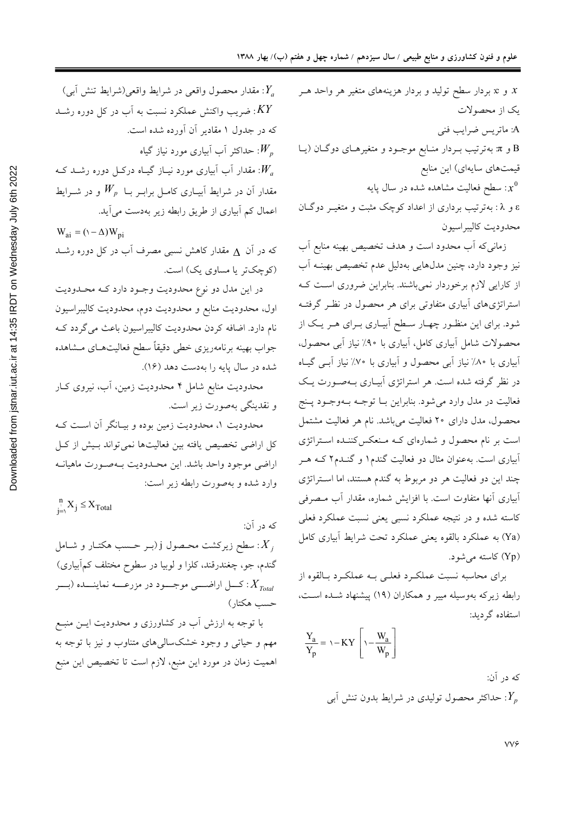و c: بردار سطح تولید و بردار هزینههای متغیر هر واحد هـر  $x$ یک از محصولات A: ماتريس ضرايب فني B و π بهترتیب بـردار منـابع موجـود و متغیرهـای دوگـان (یـا قیمتهای سایهای) این منابع ب سطح فعالیت مشاهده شده در سال پایه:  $x^0$ ε و λ: بهترتیب برداری از اعداد کوچک مثبت و متغیـر دوگـان محدوديت كاليبر اسيون

> زمانی که آب محدود است و هدف تخصیص بهینه منابع آب نیز وجود دارد، چنین مدلهایی بهدلیل عدم تخصیص بهینــه آب از کارایی لازم برخوردار نمیباشند. بنابراین ضروری است ک استراتژیهای آبیاری متفاوتی برای هر محصول در نظـر گرفتـه شود. برای این منظـور چهـار سـطح آبیـاری بـرای هـر یـک از محصولات شامل أبياري كامل، أبياري با ٩٠٪ نياز أبي محصول، أبیاری با ۸۰٪ نیاز أبی محصول و أبیاری با ۷۰٪ نیاز أبـی گیـاه در نظر گرفته شده است. هر استراتژی ابیـاری بـهصـورت یـک فعالیت در مدل وارد می شود. بنابراین بـا توجـه بـهوجـود پـنج محصول، مدل دارای ۲۰ فعالیت میباشد. نام هر فعالیت مشتمل است بر نام محصول و شمارهای کـه مـنعکس کننـده اسـتراتژی آبیاری است. بهعنوان مثال دو فعالیت گندم۱ و گنــدم۲ کــه هــر چند این دو فعالیت هر دو مربوط به گندم هستند، اما استراتژی آبیاری آنها متفاوت است. با افزایش شماره، مقدار آب مصرفی کاسته شده و در نتیجه عملکرد نسبی یعنی نسبت عملکرد فعلی (Ya) به عملکرد بالقوه یعنی عملکرد تحت شرایط اَبیاری کامل (Yp) كاسته مى شود.

> برای محاسبه نسبت عملکرد فعلبی بـه عملکـرد بـالقوه از رابطه زیرکه بهوسیله مییر و همکاران (۱۹) پیشنهاد شـده اسـت، استفاده گر دید:

$$
\frac{Y_a}{Y_p} = \nu - KY \left[ \nu - \frac{W_a}{W_p} \right]
$$

که در آن: حداکثر محصول تولیدی در شرایط بدون تنش آببی: $Y_{\scriptscriptstyle\cal P}$ 

: مقدار محصول واقعی در شرایط واقعی(شرایط تنش آبی) : $Y_a$ خمریب واکنش عملکرد نسبت به اَب در کل دوره رشــد:  $\overline{KY}$ که در جدول ۱ مقادیر آن آورده شده است. حداکثر آب آبیاری مورد نیاز گیاه: $W_{_{\it p}}$ . مقدار آب آبیاری مورد نیـاز گیـاه درکــل دوره رشــد کــه: $W_a$ مقدار آن در شرایط آبیـاری کامـل برابـر بـا  $W_p$  و در شــرایط اعمال کم آبیاری از طریق رابطه زیر بهدست می آید.

 $W_{ai} = (\Delta - \Delta) W_{bi}$ که در آن <sub>A</sub> مقدار کاهش نسبی مصرف آب در کل دوره رشــد (کوچکتر یا مساوی یک) است.

در این مدل دو نوع محدودیت وجـود دارد کـه محـدودیت اول، محدودیت منابع و محدودیت دوم، محدودیت کالیبراسیون نام دارد. اضافه کردن محدودیت کالیبراسیون باعث میگردد ک جواب بهينه برنامهريزي خطى دقيقاً سطح فعاليتهـاي مـشاهده شده در سال پایه را بهدست دهد (۱۶).

محدودیت منابع شامل ۴ محدودیت زمین، آب، نیروی کـار و نقدينگي بهصورت زير است.

محدودیت ۱، محدودیت زمین بوده و بیـانگر آن اسـت کـه کل اراضی تخصیص یافته بین فعالیتها نمیتواند بـیش از کـل اراضی موجود واحد باشد. این محـدودیت بــهصـورت ماهیانــه وارد شده و بهصورت رابطه زير است:

 $\sum_{j=\setminus}^n X_j \leq X_{\text{Total}}$ که در آن: اسطح زیرکشت محـصول j (بــر حــسب هکتــار و شــامل : $X_{\overline{j}}$ گندم، جو، چغندرقند، کلزا و لوبیا در سطوح مختلف کمآبیاری) : کسل اراضــــی موجــــود در مزرعـــــه نماینــــده (بــــر حسب هكتار)

با توجه به ارزش أب در کشاورزی و محدودیت ایــن منبــع مهم و حیاتی و وجود خشکسالی های متناوب و نیز با توجه به اهمیت زمان در مورد این منبع، لازم است تا تخصیص این منبع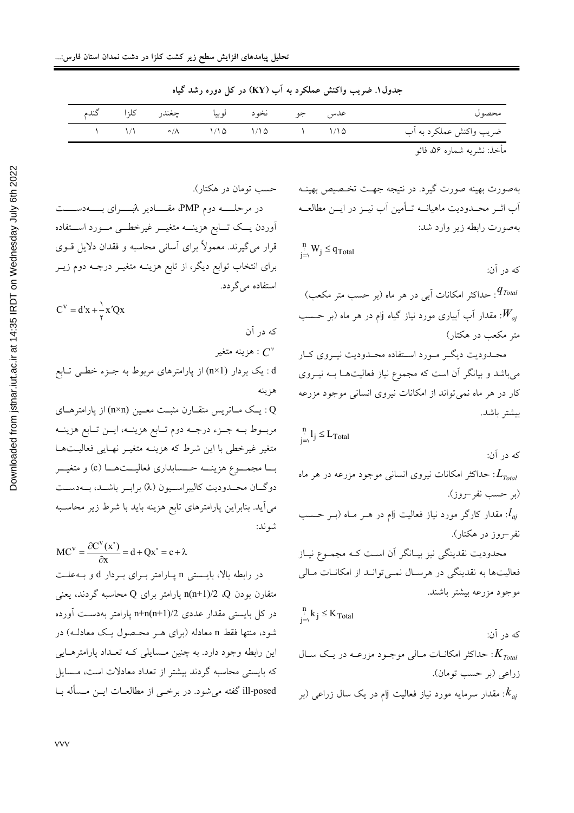| محصول المستخدم المستخدم المستخدم المستخدم والمستخدم والمستخدم والمستخدم والمستخدم والمستخدم والمستخد |  | عدس جو نخود لوبيا چغندر کلزا گندم                                                                                               |  |  |
|------------------------------------------------------------------------------------------------------|--|---------------------------------------------------------------------------------------------------------------------------------|--|--|
| ضريب واكنش عملكرد به أب                                                                              |  | $\lambda$ $\lambda/\lambda$ $\bullet/\lambda$ $\lambda/\lambda$ $\lambda/\lambda$ $\lambda/\lambda$ $\lambda$ $\lambda/\lambda$ |  |  |
|                                                                                                      |  |                                                                                                                                 |  |  |

استفاده می گردد.

که در آن

جدول۱. ضریب واکنش عملکرد به آب (KY) در کل دوره رشد گیاه

مأخذ: نشريه شماره ۵۶، فائو

بهصورت بهینه صورت گیرد. در نتیجه جهـت تخـصیص بهینــه آب اثــر محــدوديت ماهيانــه تــأمين آب نيــز در ايــن مطالعــه بهصورت رابطه زير وارد شد:

 $\sum_{j=1}^n W_j \leq q_{\text{Total}}$ که در آن: جداکثر امکانات آبی در هر ماه (بر حسب متر مکعب): $q_{\mathit{Total}}$ . مقدار آب آبیاری مورد نیاز گیاه آام در هر ماه (بر حــسب: $W_{\mathit{aj}}$ متر مکعب در هکتار) محـدوديت ديگــر مــورد اســتفاده محــدوديت نيــروي كــار میباشد و بیانگر آن است که مجموع نیاز فعالیتها بـه نیـروی کار در هر ماه نمی تواند از امکانات نیروی انسانی موجود مزرعه بيشتر باشد.  $\sum_{j=\lambda}^{n} l_j \leq L_{\text{Total}}$ 

که در آن: خداکثر امکانات نیروی انسانی موجود مزرعه در هر ماه:  $L_{\scriptscriptstyle Total}$ (بو حسب نفر -روز). . مقدار کارگر مورد نیاز فعالیت آام در هــر مــاه (بــر حــسب: $l_{\mathit{ai}}$ نفر –روز در هکتار). محدودیت نقدینگی نیز بیـانگر آن اسـت کـه مجمـوع نیـاز فعالیتها به نقدینگی در هرسال نمـی توانـد از امکانـات مـالی موجود مزرعه بيشتر باشند.  $\sum_{j=\lambda}^{n} k_j \leq K_{\text{Total}}$ که در آن: حداکثر امکانــات مــالی موجــود مزرعــه در يــک ســال:  $K_{\mathit{Total}}$ زراعي (بر حسب تومان).

بر اسرمایه مورد نیاز فعالیت  $\mathfrak{y}$ م در یک سال زراعی (بر s):  $k_{\mathit{ai}}$ 

حسب تومان در هکتار). در مرحلــــه دوم PMP، مقــــادیر  $\lambda$ بــــــرای بـــــهدســــت أوردن يسك تسابع هزينسه متغيسر غيرخطسي مسورد استقاده قرار میگیرند. معمولاً برای آسانی محاسبه و فقدان دلایل قــوی برای انتخاب توابع دیگر، از تابع هزینـه متغیــر درجـه دوم زیــر

 $C^V = d'x + \frac{1}{r}x'Qx$ زينه متغير :  $C^v$ 

d : یک بردار (n×1) از پارامترهای مربوط به جـزء خطـی تـابع هزينه

Q : يـك مــاتريس متقــارن مثبــت معــين (n×n) از پارامترهــاي مربوط بــه جــزء درجــه دوم تــابع هزينــه، ايــن تــابع هزينــه متغیر غیرخطی با این شرط که هزینـه متغیـر نهـایی فعالیـتهـا بــا مجمـــوع هزينـــه حـــسابداري فعاليـــتهـــا (c) و متغيـــر دوگـان محـدوديت كاليبراسـيون (X) برابـر باشـد، بــهدســت می اًید. بنابراین پارامترهای تابع هزینه باید با شرط زیر محاسـبه شوند:

$$
MC^{V} = \frac{\partial C^{V}(x^{*})}{\partial x} = d + Qx^{*} = c + \lambda
$$
  
در رابطه بالا، بایستی n پیارامتر برای بردار 10 و بەعلت  
متقارن بودن 0، 1/2 (nn+1)/2 (0  
در کل بایستی مقدار عددی 1n(n+1)/2 (0  
در کل بایستی مقدار عددی (n+1)/(2  
ثیو، منتها فقط n معادله (برای مدر محصول یک معادله) در  
که بایستی محاسبه گردند بیشتر از تعداد معادلات است، مسایل  
که بایستی محاسبه گردند بیشتر از تعداد معادلات است، مسایل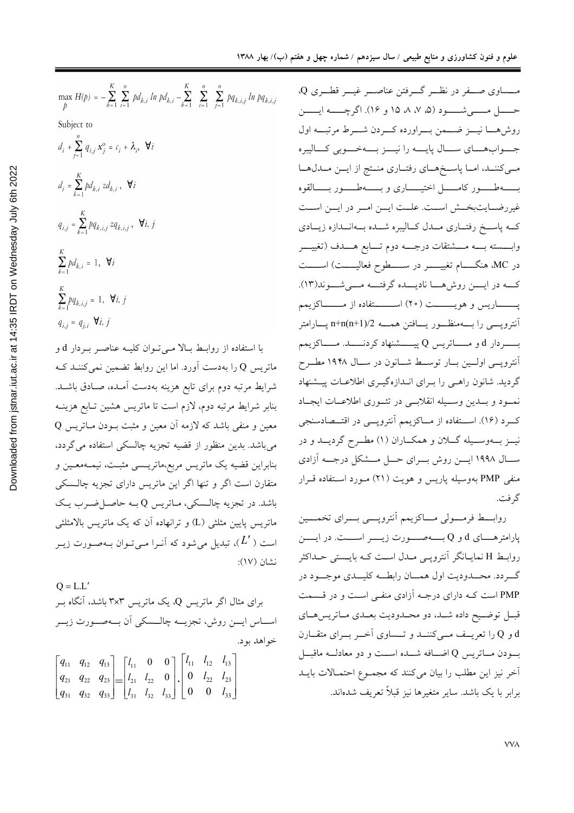$$
\max_{p} H(p) = -\sum_{k=1}^{K} \sum_{i=1}^{n} p d_{k,i} \ln p d_{k,i} - \sum_{k=1}^{K} \sum_{i=1}^{n} p q_{k,i,j} \ln p q_{k,i,j}
$$
\n
$$
\text{Subject to}
$$
\n
$$
d_{i} + \sum_{j=1}^{n} q_{i,j} x_{j}^{\circ} = c_{i} + \lambda_{i}, \quad \forall i
$$
\n
$$
d_{i} = \sum_{k=1}^{K} p d_{k,i} z d_{k,i}, \quad \forall i
$$
\n
$$
q_{i,j} = \sum_{k=1}^{K} p q_{k,i,j} z q_{k,i,j}, \quad \forall i, j
$$
\n
$$
\sum_{k=1}^{K} p d_{k,i} = 1, \quad \forall i
$$
\n
$$
\sum_{k=1}^{K} p q_{k,i,j} = 1, \quad \forall i, j
$$
\n
$$
q_{i,j} = q_{j,i} \quad \forall i, j
$$
\n
$$
d_{i,j} = q_{i,j} \quad \forall i, j
$$
\n
$$
\sum_{k=1}^{K} p q_{k,i,j} = 1, \quad \forall i, j
$$
\n
$$
\sum_{k=1}^{K} p q_{k,i} \quad \forall i, j
$$
\n
$$
\sum_{k=1}^{K} p q_{k,i} \quad \forall i, j
$$
\n
$$
\sum_{k=1}^{K} q_{k,i} \quad \forall i, j
$$
\n
$$
\sum_{k=1}^{K} q_{k,i} \quad \forall i, j
$$
\n
$$
\sum_{k=1}^{K} q_{k,i} \quad \forall i, j
$$
\n
$$
\sum_{k=1}^{K} q_{k,i} \quad \forall i, j
$$
\n
$$
\sum_{k=1}^{K} q_{k,i} \quad \forall i, j
$$
\n
$$
\sum_{k=1}^{K} q_{k,i} \quad \forall i, j
$$
\n
$$
\sum_{k=1}^{K} q_{k,i} \quad \forall i, j
$$
\n
$$
\sum_{k=1}^{K} q_{k,i} \quad \forall i, j
$$
\n
$$
\sum_{k=1}^{K} p q_{k,i} \quad \forall i, j
$$
\n
$$
\sum_{k=1
$$

با ماتہ سہ شرايط مرتبه دوم براي تابع هزينه بهدست آمـده، صـادق باشـد. بنابر شرايط مرتبه دوم، لازم است تا ماتريس هشين تـابع هزينــه 0 معین و منفی باشد که لازمه اَن معین و مثبت بــودن مــاتریس میباشد. بدین منظور از قضیه تجزیه چالسکی استفاده می گردد، بنابراین قضیه یک ماتریس مربع،ماتریــسی مثبـت، نیمــهمعـین و متقارن است اگر و تنها اگر این ماتریس دارای تجزیه چالـسکی باشد. در تجزیه چالـسکی، مـاتریس Q بـه حاصـل ضـرب یـک ماتریس پایین مثلثی (L) و ترانهاده اّن که یک ماتریس بالامثلثم ً است (  $L'$ )، تبدیل میشود که آنـرا مـیتـوان بـهصـورت زیـر نشان (١٧):

$$
Q = L.L'
$$
\n
$$
Q = L.L'
$$
\n
$$
Q \rightarrow \text{triv}
$$
\n
$$
Q \rightarrow \text{triv}
$$
\n
$$
Q \rightarrow \text{triv}
$$
\n
$$
Q \rightarrow \text{triv}
$$
\n
$$
Q \rightarrow \text{triv}
$$
\n
$$
Q \rightarrow \text{triv}
$$
\n
$$
Q \rightarrow \text{triv}
$$
\n
$$
Q \rightarrow \text{triv}
$$
\n
$$
Q \rightarrow \text{triv}
$$
\n
$$
Q \rightarrow \text{triv}
$$
\n
$$
Q \rightarrow \text{triv}
$$
\n
$$
Q \rightarrow \text{triv}
$$
\n
$$
Q \rightarrow \text{triv}
$$
\n
$$
Q \rightarrow \text{triv}
$$
\n
$$
Q \rightarrow \text{triv}
$$
\n
$$
Q \rightarrow \text{triv}
$$
\n
$$
Q \rightarrow \text{triv}
$$
\n
$$
Q \rightarrow \text{triv}
$$
\n
$$
Q \rightarrow \text{triv}
$$
\n
$$
Q \rightarrow \text{triv}
$$
\n
$$
Q \rightarrow \text{triv}
$$
\n
$$
Q \rightarrow \text{triv}
$$
\n
$$
Q \rightarrow \text{triv}
$$
\n
$$
Q \rightarrow \text{triv}
$$
\n
$$
Q \rightarrow \text{triv}
$$
\n
$$
Q \rightarrow \text{triv}
$$
\n
$$
Q \rightarrow \text{triv}
$$
\n
$$
Q \rightarrow \text{triv}
$$
\n
$$
Q \rightarrow \text{triv}
$$
\n
$$
Q \rightarrow \text{triv}
$$
\n
$$
Q \rightarrow \text{triv}
$$
\n
$$
Q \rightarrow \text{triv}
$$
\n
$$
Q \rightarrow \text{triv}
$$
\n
$$
Q \rightarrow \text{triv}
$$
\n
$$
Q \rightarrow \text{triv}
$$
\n
$$
Q \rightarrow \text{triv}
$$
\n
$$
Q \rightarrow \text{triv}
$$
\n
$$
Q \rightarrow \text{triv}
$$
\n
$$
Q \rightarrow \text{triv}
$$
\n
$$
Q \rightarrow \text{triv}
$$
\n
$$
Q \rightarrow \text{triv}
$$
\

مـــساوي صــــفر در نظـــر گــــرفتن عناصــــر غيــــر قطــــري Q، حـــــــل مــــــــي شـــــــود (۵، ۷، ۸، ۱۵ و ۱۶). اگرچــــــه ايـــــــن روشهــا نيـــز ضـــمن بـــراورده كـــردن شـــرط مرتبـــه اول جسواب هساي سسال پايسه را نيسز بسه خسوبي كساليبره مهی کننــد، امــا پاســخهــای رفتــاری منــتج از ايــن مــدلهــا بـــــــهطـــــور كامــــــــل اختيـــــــارى و بـــــــهطـــــور بــــــالقوه غير رضـايتبخــش اســت. علــت ايــن امــر در ايــن اســت کـه پاســخ رفتــاري مــدل كــاليبره شــده بــهانــدازه زيــادي وابــــسته بـــــه مــــشتقات درجـــــه دوم تــــابع هـــــدف (تغييـــــر در MC، هنگــــام تغییــــــر در ســــــطوح فعالیـــــت) اســـــت كــه در ايــــن روش هـــا ناديـــده گرفتـــه مــــى شـــوند(١٣). يــــــــاريس و هويــــــــت (٢٠) اســـــــتفاده از مــــــــاكزيمم آنترویسی را بسهمنظـور یسافتن همـــه n+n(n+1)/2 پـــارامتر بــــــــردار d و مـــــــاتريس Q پيــــــشنهاد كردنـــــــد. مــــــاكزيمم آنتروپسی اولسین بسار توسسط شسانون در سسال ۱۹۴۸ مطـرح گردید. شانون راهـی را بـرای انـدازهگیـری اطلاعـات پیـشنهاد نمسود و بسدين وسسيله انقلابسي در تئسوري اطلاعسات ايجساد کــرد (۱۶). اســتفاده از مــاکزیمم آنتروپـــی در اقتـــصادسنجی نيــز بـــهوســـيله گـــلان و همكـــاران (١) مطــرح گرديـــد و در ســال ١٩٩٨ ايــــن روش بـــراي حـــل مـــشكل درجـــه آزادي منفی PMP بهوسیله پاریس و هویت (٢١) مورد استفاده قرار گر فت.

روابط فرمسولي مساكزيمم أنترويسي بسراي تخمسين پارامترهــــای d و Q بـــــهصــــورت زیـــــر اســــت. در ایـــــن روابـط H نمايــانگر آنتروپــي مــدل اســت كــه بايــستى حــداكثر گ دد. محسدودیت اول همسان رابطــه کلیــدی موجــود در PMP است کـه دارای درجـه آزادی منفـی اسـت و در قـسمت قبـل توضـيح داده شـد، دو محـدوديت بعـدي مـاتريس هـاي و Q را تعریــف مــیکننــد و تــساوی آخــر بــرای متقــارن  $\rm{Q}$ بودن مــاتريس Q اضــافه شــده اســت و دو معادلــه ماقبــل آخر نیز این مطلب را بیان میکنند که مجموع احتمالات بایـد برابر با یک باشد. سایر متغیرها نیز قبلاً تعریف شدهاند.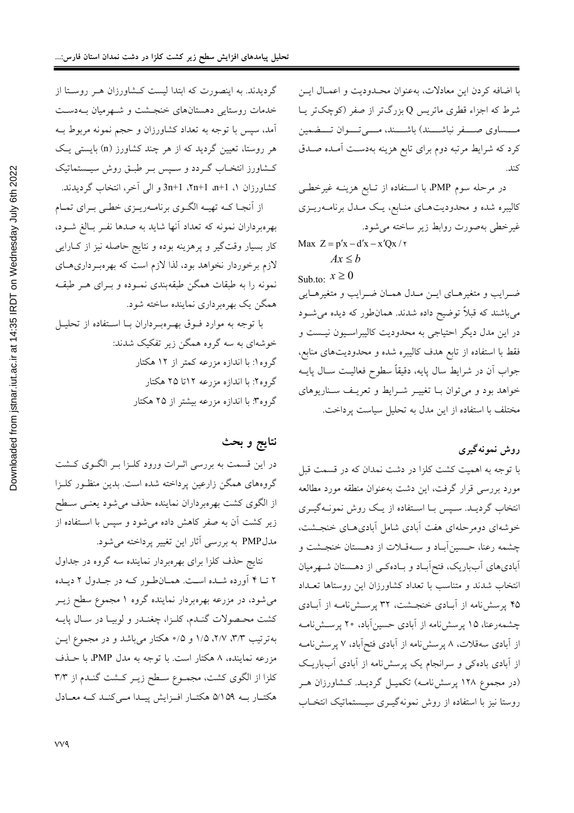با اضافه كردن اين معادلات، بهعنوان محـدوديت و اعمـال ايـن شرط که اجزاء قطری ماتریس Q بزرگتر از صفر (کوچکتر یـا مــــساوي صــــفر نباشــــند) باشــــند، مـــــي تــــوان تــــضمين کرد که شرایط مرتبه دوم برای تابع هزینه بهدست آمـده صـدق كند.

در مرحله سوم PMP، با استفاده از تـابع هزینـه غیرخطـی کالیبره شده و محدودیتهـای منـابع، یـک مـدل برنامـهریـزی غيرخطي بهصورت روابط زير ساخته مي شود.

Max  $Z = p'x - d'x - x'Qx / \gamma$  $Ax < b$ 

Sub.to:  $x \ge 0$ 

ضرايب و متغيرهـاي ايـن مـدل همـان ضـرايب و متغيرهـايي میباشند که قبلاً توضیح داده شدند. همانطور که دیده می شـود در این مدل دیگر احتیاجی به محدودیت کالیبراسـیون نیـست و فقط با استفاده از تابع هدف كاليبره شده و محدوديتهاى منابع، جواب اَن در شرايط سال پايه، دقيقاً سطوح فعاليـت ســال پايــه خواهد بود و می توان بـا تغییـر شـرایط و تعریـف سـناریوهای مختلف با استفاده از این مدل به تحلیل سیاست پرداخت.

#### روش نمونه گيري

با توجه به اهمیت کشت کلزا در دشت نمدان که در قسمت قبل مورد بررسی قرار گرفت، این دشت بهعنوان منطقه مورد مطالعه انتخاب گردیـد. سـیس بـا اسـتفاده از یـک روش نمونـهگیـری خوشهای دومرحلهای هفت آبادی شامل آبادی هـای خنجــشت، چشمه رعنا، حسین آبـاد و سـهقـلات از دهـستان خنجـشت و اًبادیهای اَبباریک، فتحاَباد و بـادهکـی از دهـستان شـهرمیان انتخاب شدند و متناسب با تعداد کشاورزان این روستاها تعـداد ۴۵ پرسش نامه از آبادی خنجشت، ۳۲ پرسش نامـه از آبـادی چشمهرعنا، ۱۵ پرسشiامه از آبادی حسینآباد، ۲۰ پرسـشiامـه از آبادی سهقلات، ۸ پرسشiامه از آبادی فتح آباد، ۷ پرسشiامـه از آبادی باده کی و سرانجام یک پرسش نامه از آبادی آبباریک (در مجموع ۱۲۸ پرسشنامـه) تکمیـل گردیـد. کـشاورزان هـر روستا نیز با استفاده از روش نمونهگیـری سیـستماتیک انتخـاب

گردیدند. به اینصورت که ابتدا لیست کـشاورزان هـر روسـتا از خدمات روستایی دهستانهای خنجشت و شهرمیان بـهدسـت آمد، سپس با توجه به تعداد کشاورزان و حجم نمونه مربوط بــه هر روستا، تعیین گردید که از هر چند کشاورز (n) بایستی یک کـشاورز انتخـاب گــردد و ســپس بــر طبــق روش سیــستماتیک کشاورزان ۱، m+1 a+1، 1+n+1، ال آخر، انتخاب گردیدند.

از آنجـا كــه تهيــه الگــوي برنامــهريــزي خطـي بــراي تمــام بهرهبرداران نمونه كه تعداد آنها شايد به صدها نفـر بـالغ شـود، کار بسیار وقتگیر و پرهزینه بوده و نتایج حاصله نیز از کـارایی لازم برخوردار نخواهد بود، لذا لازم است که بهرهبرداریهـای نمونه را به طبقات همگن طبقهبندی نمـوده و بـرای هـر طبقـه همگن یک بهرهبرداری نماینده ساخته شود.

با توجه به موارد فوق بهـرهبـرداران بــا اسـتفاده از تحليـل خوشهای به سه گروه همگن زیر تفکیک شدند: گروه ۱: با اندازه مزرعه کمتر از ۱۲ هکتار گروه۲: با اندازه مزرعه ۱۲تا ۲۵ هکتار گروه۳: با اندازه مزرعه بیشتر از ۲۵ هکتار

### نتايج و بحث

در این قسمت به بررسی اثـرات ورود کلـزا بـر الگـوی کـشت گروههای همگن زارعین پرداخته شده است. بدین منظـور کلــزا از الگوی کشت بهرهبرداران نماینده حذف میشود یعنـی سـطح زیر کشت آن به صفر کاهش داده میشود و سپس با استفاده از مدل PMP به بررسی آثار این تغییر پرداخته میشود.

نتایج حذف کلزا برای بهرهبردار نماینده سه گروه در جداول ۲ تـا ۴ آورده شـده اسـت. همـانطـور كـه در جـدول ۲ ديـده میشود، در مزرعه بهرهبردار نماینده گروه ۱ مجموع سطح زیــر كشت محصولات گنـدم، كلـزا، چغنـدر و لوبيـا در سـال پايـه بهترتیب ۳/۳، ۲/۷، ۱/۵ و ۰/۵ هکتار میباشد و در مجموع ایسن مزرعه نماینده، ۸ هکتار است. با توجه به مدل PMP، با حـذف كلزا از الگوى كشت، مجموع سطح زيـر كـشت گنـدم از ٣/٣ هکتار به ۵/۱۵۹ هکتار افزایش پیدا میکند که معادل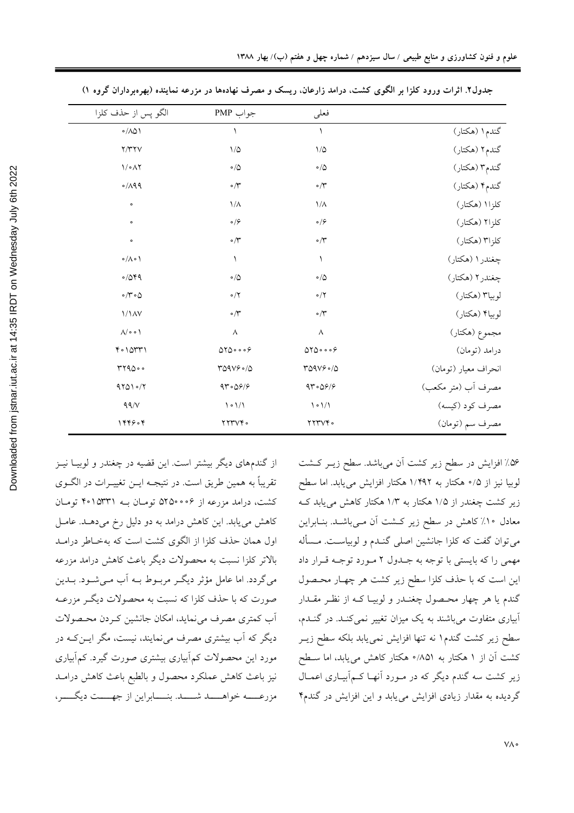|                      | فعلمى                                      | جواب PMP                    | الگو پس از حذف كلزا                    |  |
|----------------------|--------------------------------------------|-----------------------------|----------------------------------------|--|
| گندم۱ (هکتار)        | $\lambda$                                  | ١                           | $\circ/\wedge\vartriangle\wedge$       |  |
| گندم۲ (هکتار)        | $1/\Delta$                                 | $\backslash/\mathcal{Q}$    | Y/YYV                                  |  |
| گندم۳ (هکتار)        | $\circ/\triangle$                          | $\circ/\Diamond$            | $\mathcal{N} \circ \mathcal{N}$        |  |
| گندم۴ (هکتار)        | $\cdot$ $\uparrow$                         | $\circ/\Upsilon$            | $0/\lambda$ 99                         |  |
| كلزا (هكتار)         | $1/\lambda$                                | $1/\lambda$                 | $\circ$                                |  |
| كلزا۲ (هكتار)        | $\circ$ / $\varphi$                        | $\circ$ / $\varphi$         | $\bullet$                              |  |
| كلزا٣ (هكتار)        | $\circ/\tilde{r}$                          | $\circ/\breve{\tau}$        | $\circ$                                |  |
| چغندر ۱ (هکتار)      | ١                                          | $\lambda$                   | $\circ / \wedge \circ \wedge$          |  |
| چغندر۲ (هکتار)       | $\circ/\triangle$                          | $\circ/\Diamond$            | 0/049                                  |  |
| لوبيا٣ (هكتار)       | $\circ/7$                                  | $\circ/7$                   | $\circ/\mathsf{r}\circ\mathsf{\Delta}$ |  |
| لوبياً (هكتار)       | $\circ/\tilde{r}$                          | $\circ/\breve{\tau}$        | 1/1AV                                  |  |
| مجموع (هکتار)        | $\wedge$                                   | $\wedge$                    | $\Lambda/\circ \circ \Lambda$          |  |
| درامد (تومان)        | 0100009                                    | 0100009                     | $Y \circ 10YY1$                        |  |
| انحراف معيار (تومان) | $TQAVS \circ /Q$                           | Y09V90/0                    | rr9000                                 |  |
| مصرف أب (متر مكعب)   | 97.097                                     | 97°09/9                     | 97010/7                                |  |
| مصرف كود (كيسه)      | $\backslash \circ \backslash / \backslash$ | $\lambda \circ \frac{1}{2}$ | $99/$                                  |  |
| مصرف سم (تومان)      | YYYYY                                      | YYYYY                       | 1449.4                                 |  |
|                      |                                            |                             |                                        |  |

جدول۲. اثرات ورود کلزا بر الگوی کشت، درامد زارعان. ریسک و مصرف نهادهها در مزرعه نماینده (بهرهبرداران گروه ۱)

از گندمهای دیگر بیشتر است. این قضیه در چغندر و لوبیـا نیـز تقریباً به همین طریق است. در نتیجـه ایــن تغییــرات در الگــوی کشت، درامد مزرعه از ۶۰۰٬۵۲۵۰ تومان بـه ۴۰۱۵۳۳۱ تومان کاهش می یابد. این کاهش درامد به دو دلیل رخ میدهـد. عامـل اول همان حذف كلزا از الگوى كشت است كه بهخـاطر درامـد بالاتر کلزا نسبت به محصولات دیگر باعث کاهش درامد مزرعه میگردد. اما عامل مؤثر دیگـر مربـوط بــه اَب مــیشــود. بــدین صورت که با حذف کلزا که نسبت به محصولات دیگـر مزرعــه آب كمترى مصرف مى نمايد، امكان جانشين كـردن محـصولات دیگر که آب بیشتری مصرف می نمایند، نیست، مگر ایــن کــه در مورد این محصولات کم اَبیاری بیشتری صورت گیرد. کم اَبیاری نیز باعث کاهش عملکرد محصول و بالطبع باعث کاهش درامـد مزرعـــــه خواهـــــــد شــــــد. بنــــــابراين از جهـــــت ديگـــــر،

۵۶٪ افزایش در سطح زیر کشت آن میباشد. سطح زیـر کـشت لوبیا نیز از ۰/۵ هکتار به ۱/۴۹۲ هکتار افزایش می یابد. اما سطح زیر کشت چغندر از ۱/۵ هکتار به ۱/۳ هکتار کاهش می پابد ک معادل ۱۰٪ کاهش در سطح زیر کشت آن مـیباشـد. بنـابراین می توان گفت که کلزا جانشین اصلی گنـدم و لوبیاسـت. مـسأله مهمی را که بایستی با توجه به جـدول ۲ مـورد توجـه قـرار داد این است که با حذف کلزا سطح زیر کشت هر چهـار محـصول گندم یا هر چهار محصول چغنـدر و لوبیـا کـه از نظـر مقـدار آبیاری متفاوت می باشند به یک میزان تغییر نمی کنـد. در گنـدم، سطح زیر کشت گندم۱ نه تنها افزایش نمی یابد بلکه سطح زیـر کشت آن از ۱ هکتار به ۸۵۱/۰ هکتار کاهش می یابد، اما سطح زیر کشت سه گندم دیگر که در مـورد آنهـا کـمآبیـاری اعمـال گردیده به مقدار زیادی افزایش می یابد و این افزایش در گندم۴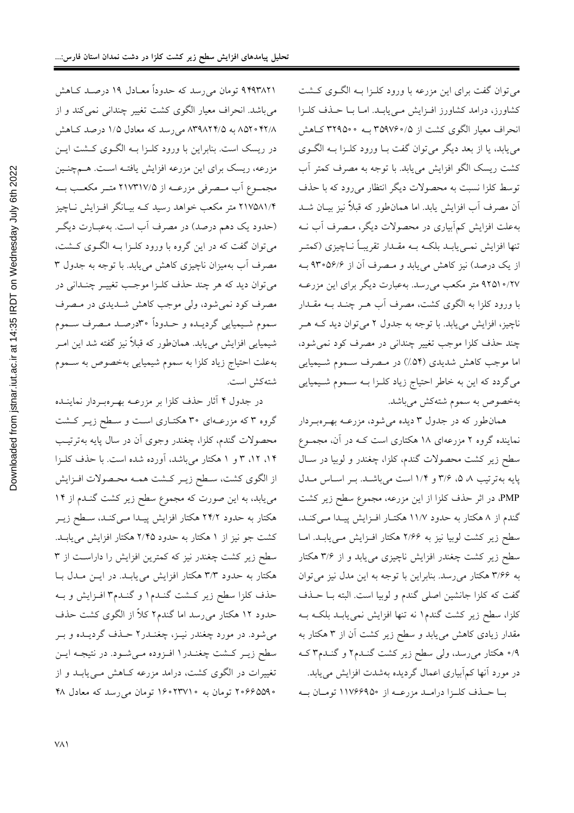۹۴۹۳۸۲۱ تومان میرسد که حدوداً معـادل ۱۹ درصـد کـاهش مي باشد. انحراف معيار الگوي كشت تغيير چنداني نمي كند و از ۸۵۲۰ ۴۲/۸ به ۸۳۹۸۲۴/۵ میرسد که معادل ۱/۵ درصد کاهش در ریسک است. بنابراین با ورود کلـزا بـه الگـوی کـشت ایـن مزرعه، ریسک برای این مزرعه افزایش یافتـه اسـت. هــمچنـین مجمـوع اّب مـصرفي مزرعــه از ۲۱۷۳۱۷/۵ متــر مكعــب بــه ۲۱۷۵۸۱/۴ متر مکعب خواهد رسید کـه بیـانگر افـزایش نـاچیز (حدود یک دهم درصد) در مصرف آب است. بهعبـارت دیگـر میتوان گفت که در این گروه با ورود کلـزا بـه الگــوی کــشت، مصرف اّب بهمیزان ناچیزی کاهش مییابد. با توجه به جدول ۳ مي توان ديد كه هر چند حذف كلـزا موجـب تغييـر چنـداني در مصرف کود نمي شود، ولي موجب کاهش شــديدي در مـصرف سموم شـيميايي گرديـده و حـدوداً ٣٠درصـد مـصرف سـموم شیمیایی افزایش میbیابد. همانطور که قبلاً نیز گفته شد این امـر بهعلت احتياج زياد كلزا به سموم شيميايي بهخصوص به سـموم شته كش است.

در جدول ۴ آثار حذف کلزا بر مزرعـه بهـرهبـردار نماينــده گروه ۳ که مزرعـهای ۳۰ هکتـاری اسـت و سـطح زيـر کـشت محصولات گندم، کلزا، چغندر وجوی آن در سال پایه بهترتیب ۰۱۴، ۱۲، ۳ و ۱ هکتار میباشد، آورده شده است. با حذف کلـزا از الگوى كشت، سطح زيـر كـشت همـه محـصولات افـزايش می یابد، به این صورت که مجموع سطح زیر کشت گنـدم از ۱۴ هکتار به حدود ۲۴/۲ هکتار افزایش پیـدا مـیکنـد، سـطح زیـر کشت جو نیز از ۱ هکتار به حدود ۲/۴۵ هکتار افزایش می یابـد. سطح زیر کشت چغندر نیز که کمترین افزایش را داراست از ۳ هکتار به حدود ۳/۳ هکتار افزایش می یابـد. در ایـن مـدل بـا حذف کلزا سطح زیر کـشت گنـدم١ و گنـدم٣ افـزایش و بـه حدود ۱۲ هکتار میرسد اما گندم۲ کلاً از الگوی کشت حذف میشود. در مورد چغندر نیـز، چغنـدر۲ حـذف گردیـده و بـر سطح زیـر کـشت چغنـدر١ افـزوده مـیشـود. در نتیجـه ایـن تغییرات در الگوی کشت، درامد مزرعه کاهش مـییابـد و از ۲۰۶۶۵۵۹۰ تومان به ۲۳۷۱۰۰ تومان می رسد که معادل ۴۸

می توان گفت برای این مزرعه با ورود کلـزا بـه الگـوی کـشت کشاورز، درامد کشاورز افزایش می یابـد. امـا بـا حـذف کلـزا انحراف معیار الگوی کشت از ۳۵۹۷۶۰/۵ به ۳۲۹۵۰۰ کـاهش می یابد، یا از بعد دیگر می توان گفت بـا ورود کلـزا بـه الگـوی كشت ريسك الگو افزايش مييابد. با توجه به مصرف كمتر آب توسط کلزا نسبت به محصولات دیگر انتظار میرود که با حذف آن مصرف آب افزایش یابد. اما همانطور که قبلاً نیز بیـان شــد بهعلت افزایش کم آبیاری در محصولات دیگر، مـصرف آب نــه تنها افزایش نمـیbیابـد بلکـه بــه مقــدار تقریبـاً نــاچیزی (کمتـر از یک درصد) نیز کاهش می یابد و مـصرف آن از ۹۳۰۵۶/۶ بـه ٬۲۷ ه۱۹۲۵ متر مکعب میرسد. بهعبارت دیگر برای این مزرعـه با ورود کلزا به الگوی کشت، مصرف اَب هــر چنــد بــه مقــدار ناچیز، افزایش می یابد. با توجه به جدول ۲ می توان دید کـه هـر چند حذف کلزا موجب تغییر چندانی در مصرف کود نمی شود، اما موجب کاهش شدیدی (۵۴٪) در مـصرف سـموم شـیمیایی میگردد که این به خاطر احتیاج زیاد کلـزا بــه ســموم شــیمیایی بهخصوص به سموم شتهكش مىباشد.

همانطور که در جدول ۳ دیده میشود، مزرعـه بهـرهبـردار نماینده گروه ۲ مزرعهای ۱۸ هکتاری است کـه در آن، مجمـوع سطح زیر کشت محصولات گندم، کلزا، چغندر و لوبیا در سـال پایه به ترتیب ۵ ۵، ۳/۶ و ۱/۴ است میباشد. بر اساس مدل PMP، در اثر حذف کلزا از این مزرعه، مجموع سطح زیر کشت گندم از ۸ هکتار به حدود ۱۱/۷ هکتـار افـزايش پيـدا مـيکنـد، سطح زیر کشت لوبیا نیز به ۲/۶۶ هکتار افـزایش مـییابـد. امـا سطح زیر کشت چغندر افزایش ناچیزی می یابد و از ۳/۶ هکتار به ۳/۶۶ هکتار میرسد. بنابراین با توجه به این مدل نیز میتوان گفت که کلزا جانشین اصلی گندم و لوبیا است. البته بــا حــذف کلزا، سطح زیر کشت گندم۱ نه تنها افزایش نمی یابـد بلکـه بـه مقدار زیادی کاهش می یابد و سطح زیر کشت آن از ۳ هکتار به ۹/۰ هکتار میرسد، ولی سطح زیر کشت گنـدم۲ و گنـدم۳ کـه در مورد آنها کمآبیاری اعمال گردیده بهشدت افزایش مییابد.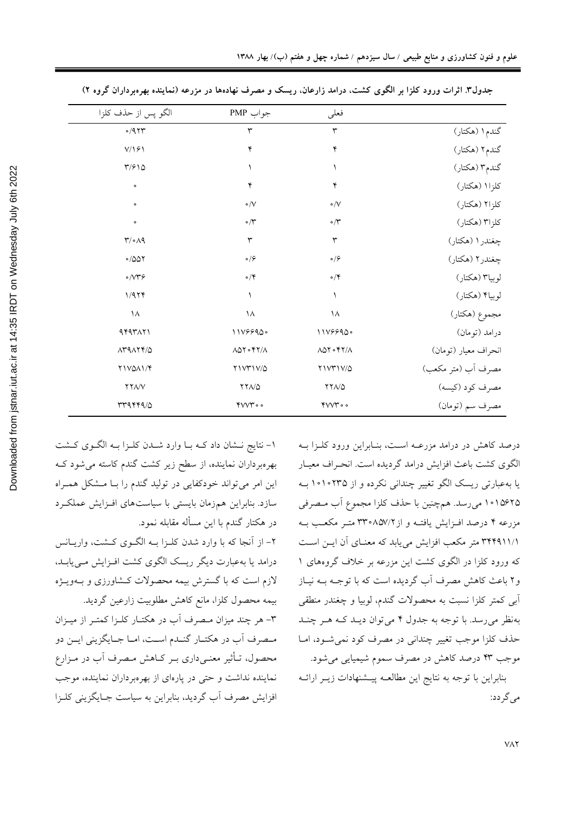| الگو پس از حذف كلزا                                | جواب PMP                                   | فعلى                                                               |                      |
|----------------------------------------------------|--------------------------------------------|--------------------------------------------------------------------|----------------------|
| 0/9.74                                             | ٣                                          | ٣                                                                  | گندم۱ (هکتار)        |
| $V/\sqrt{2}$                                       | ۴                                          | ۴                                                                  | گندم۲ (هکتار)        |
| $\frac{1}{2}$                                      | ١                                          | ١                                                                  | گندم۳ (هکتار)        |
| $\circ$                                            | ۴                                          | ۴                                                                  | كلزا (هكتار)         |
| $\circ$                                            | $\circ /V$                                 | $\circ/\vee$                                                       | كلزا۲ (هكتار)        |
| $\bullet$                                          | $\circ/\tilde{r}$                          | $\cdot$ $\uparrow$                                                 | کلزا۳ (هکتار)        |
| $\uparrow/\circ\wedge\uparrow$                     | $\mathsf{r}$                               | ٣                                                                  | چغندر ۱ (هکتار)      |
| $\circ$ /007                                       | $\circ/ \hat{\succ}$                       | $\circ$ / $\varphi$                                                | چغندر۲ (هکتار)       |
| $\circ / \vee \uparrow \varphi$                    | $\circ/$ ۴                                 | $\circ/\mathsf{Y}$                                                 | لوبيا٣ (هكتار)       |
| 1/979                                              | $\lambda$                                  | $\lambda$                                                          | لوبياً (هكتار)       |
| $\lambda$                                          | $\lambda$                                  | ١٨                                                                 | مجموع (هکتار)        |
| 444711                                             | 1119990.                                   | 1119990.                                                           | درامد (تومان)        |
| $\Lambda$ ra $\Lambda$ r $\Lambda$                 | $\Lambda$ $\Delta$ ۲ $\circ$ ۴۲/ $\Lambda$ | $\Lambda$ $\Lambda \circ \Upsilon \circ \Upsilon \gamma / \Lambda$ | انحراف معيار (تومان) |
| <b>TIVOAI/F</b>                                    | <b>TIVTIV/0</b>                            | <b>YIVTIV/0</b>                                                    | مصرف أب (متر مكعب)   |
| $\uparrow\uparrow\uparrow\downarrow\downarrow\vee$ | $YYA/\Delta$                               | $YYA/\Delta$                                                       | مصرف كود (كيسه)      |
| rrqrrq/0                                           | 400                                        | 400                                                                | مصرف سم (تومان)      |

جدول۳ اثرات ورود کلزا بر الگوی کشت، درامد زارعان. ریسک و مصرف نهادهها در مزرعه (نماینده بهرهبرداران گروه ۲)

۱- نتایج نـشان داد کـه بـا وارد شـدن کلـزا بـه الگـوی کـشت بهرهبرداران نماینده، از سطح زیر کشت گندم کاسته می شود ک این امر می تواند خودکفایی در تولید گندم را بـا مـشکل همـراه سازد. بنابراین همزمان بایستی با سیاستهای افـزایش عملکـرد در هکتار گندم با این مسأله مقابله نمود. ۲- از آنجا که با وارد شدن کلـزا بـه الگـوی کـشت، واریـانس درامد یا بهعبارت دیگر ریسک الگوی کشت افـزایش مـی یابـد،

لازم است که با گسترش بیمه محصولات کـشاورزی و بــهویــژه بیمه محصول کلزا، مانع کاهش مطلوبیت زارعین گردید.

۳- هر چند میزان مـصرف آب در هکتـار کلـزا کمتـر از میـزان مصرف آب در هکتـار گنـدم اسـت، امـا جـايگزيني ايـن دو محصول، تـأثیر معنـی،داری بـر کـاهش مـصرف اَب در مـزارع نماینده نداشت و حتی در پارهای از بهرهبرداران نماینده، موجب افزایش مصرف آب گردید، بنابراین به سیاست جبایگزینی کلیزا

درصد کاهش در درامد مزرعـه اسـت، بنـابراين ورود کلـزا بـه الگوی کشت باعث افزایش درامد گردیده است. انحـراف معیـار یا بهعبارتی ریسک الگو تغییر چندانی نکرده و از ۱۰۱۰۲۳۵ بـه ۱۰۱۵۶۲۵ میررسد. همچنین با حذف کلزا مجموع آب مصرفی مزرعه ۴ درصد افـزایش یافتـه و از ۳۳۰۸۵۷/۲ متـر مکعـب بـه ٣٣٩٩١١/١ متر مكعب افزايش مي يابد كه معنـاي آن ايــن اســت که ورود کلزا در الگوی کشت این مزرعه بر خلاف گروههای ۱ و۲ باعث کاهش مصرف آب گردیده است که با توجــه بــه نیــاز ابی کمتر کلزا نسبت به محصولات گندم، لوبیا و چغندر منطقی بهنظر میرسد. با توجه به جدول ۴ میتوان دیـد کـه هـر چنـد حذف كلزا موجب تغيير چنداني در مصرف كود نمي شـود، امـا موجب ۴۳ درصد کاهش در مصرف سموم شیمیایی می شود. بنابراین با توجه به نتایج این مطالعـه پیـشنهادات زیـر ارائـه می گر دد: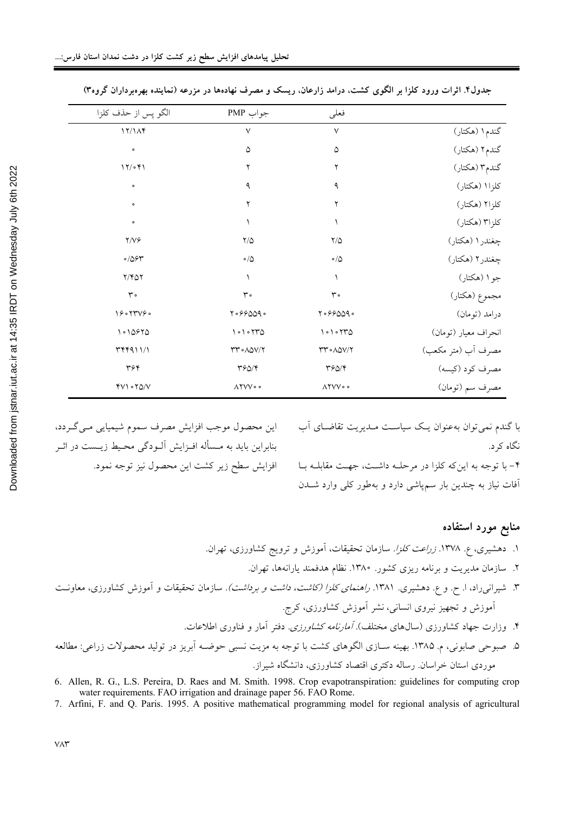|                      | فعلى                               | جواب PMP                                        | الگو پس از حذف كلزا  |
|----------------------|------------------------------------|-------------------------------------------------|----------------------|
| گندم۱ (هکتار)        | $\vee$                             | ٧                                               | 17/14                |
| گندم۲ (هکتار)        | ۵                                  | ۵                                               | $\bullet$            |
| گندم۳ (هکتار)        | ٢                                  | ٢                                               | 17/071               |
| كلزا (هكتار)         | ٩                                  | ٩                                               | $\bullet$            |
| كلزا۲ (هكتار)        | ۲                                  | ۲                                               | $\circ$              |
| كلزا۳ (هكتار)        |                                    |                                                 | $\circ$              |
| چغندر۱ (هکتار)       | $\rm{Y}/\triangle$                 | $\frac{1}{2}$                                   | $Y/V$ ۶              |
| چغندر۲ (هکتار)       | $\circ/\Diamond$                   | $\circ/\Delta$                                  | $\circ$ /06 $\gamma$ |
| جو۱ (هکتار)          |                                    |                                                 | $Y/Y\Delta Y$        |
| مجموع (هکتار)        | $\mathsf{r}$ .                     | $\mathsf{r}$ .                                  | $\mathsf{r}$ .       |
| درامد (تومان)        | 7.99009.                           | 7.99009.                                        | 19.5                 |
| انحراف معيار (تومان) | 1010770                            | 1010770                                         | 10970                |
| مصرف أب (متر مكعب)   | $rr \circ \wedge \triangle V/Y$    | $rr \circ \Lambda \Delta V / 7$                 | $\upmu$              |
| مصرف كود (كيسه)      | $\mathbf{r} \mathbf{r} \mathbf{r}$ | $\mathbf{r} \mathbf{S} \mathbf{A} / \mathbf{S}$ | ٣۶۴                  |
| مصرف سم (تومان)      | $\Lambda$ YVV $\circ$ $\circ$      | $\Lambda$ YVV $\circ$                           | $fV \cdot f\Delta/V$ |
|                      |                                    |                                                 |                      |

جدول۴. اثرات ورود کلزا بر الگوی کشت، درامد زارعان، ریسک و مصرف نهادهها در مزرعه (نماینده بهرهبرداران گروه۳)

این محصول موجب افزایش مصرف سموم شیمیایی مـی گـردد، بنابراین باید به مـسأله افـزایش آلـودگی محـیط زیـست در اثـر افزايش سطح زير كشت اين محصول نيز توجه نمود.

با گندم نمی توان بهعنوان یـک سیاسـت مــدیریت تقاضــای آب نگاه کړ د. ۴- با توجه به این که کلزا در مرحلـه داشـت، جهـت مقابلـه بـا آفات نیاز به چندین بار سمپاشی دارد و بهطور کلی وارد شدن

منابع مورد استفاده ۱. دهشیری، ع. ۱۳۷۸. *زراعت کلزا.* سازمان تحقیقات، آموزش و ترویج کشاورزی، تهران. ۲. سازمان مدیریت و برنامه ریزی کشور. ۱۳۸۰. نظام هدفمند یارانهها، تهران. ۳. شیران<sub>می</sub>راد، ا<sub>. ح</sub>. و ع. دهشیری. ۱۳۸۱. *راهنمای کلزا (کاشت، داشت و برداشت).* سازمان تحقیقات و آموزش کشاورزی، معاونت آموزش و تجهیز نیروی انسانی، نشر آموزش کشاورزی، کرج. ۴. وزارت جهاد کشاورزی (سالهای مختلف). *آمارنامه کشاورزی.* دفتر آمار و فناوری اطلاعات. ۵. صبوحی صابونی، م. ۱۳۸۵. بهینه سـازی الگوهای کشت با توجه به مزیت نسبی حوضـه آبریز در تولید محصولات زراعی: مطالعه موردی استان خراسان. رساله دکتری اقتصاد کشاورزی، دانشگاه شیراز.

6. Allen, R. G., L.S. Pereira, D. Raes and M. Smith. 1998. Crop evapotranspiration: guidelines for computing crop water requirements. FAO irrigation and drainage paper 56. FAO Rome.

7. Arfini, F. and Q. Paris. 1995. A positive mathematical programming model for regional analysis of agricultural